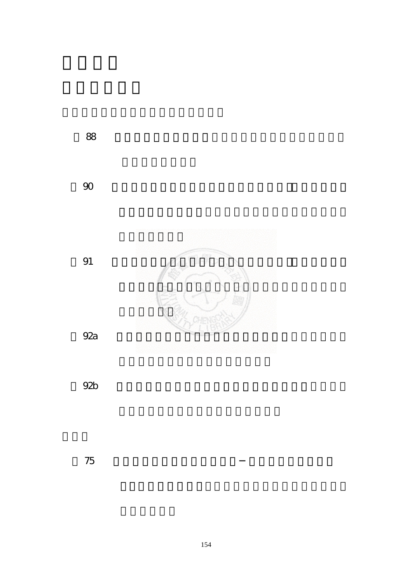

 $88$ 

 $90$ 

 $92b$ 

 $75$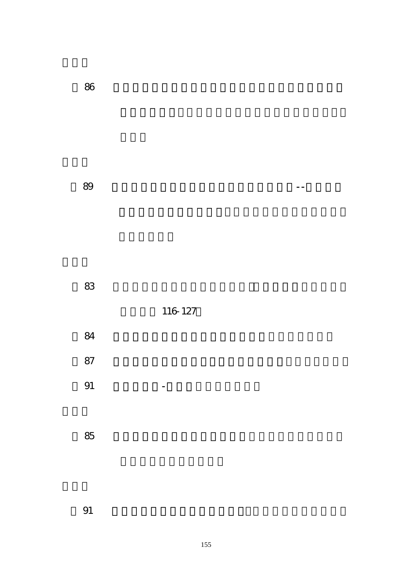$86$ 

89 九二一大地震震災學校環境重建問題之研究--以南投縣

 $83$   $\overline{\phantom{a}}$   $\overline{\phantom{a}}$   $\overline{\phantom{a}}$   $\overline{\phantom{a}}$   $\overline{\phantom{a}}$   $\overline{\phantom{a}}$   $\overline{\phantom{a}}$   $\overline{\phantom{a}}$   $\overline{\phantom{a}}$   $\overline{\phantom{a}}$   $\overline{\phantom{a}}$   $\overline{\phantom{a}}$   $\overline{\phantom{a}}$   $\overline{\phantom{a}}$   $\overline{\phantom{a}}$   $\overline{\phantom{a}}$   $\overline{\phantom{a}}$   $\overline{\phantom{a}}$ 

116-127

 $84$ 

87 政策科學之理論與實際:美國與台灣經驗,台北:五

91 災難管理學-地震篇,台北 元照。

 $85$ 

 $91$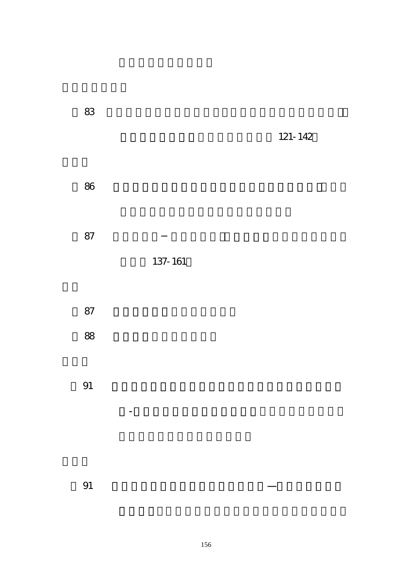$83$   $\blacksquare$ 121-142  $86$ 

 $87$ 137-161

87 公共政策辭典,台北:五南

88 公共政策,台北:華視。

91  $\blacksquare$ 析-以大里、霧峰五個組合屋為例 陽科技大學企業

 $91$   $-$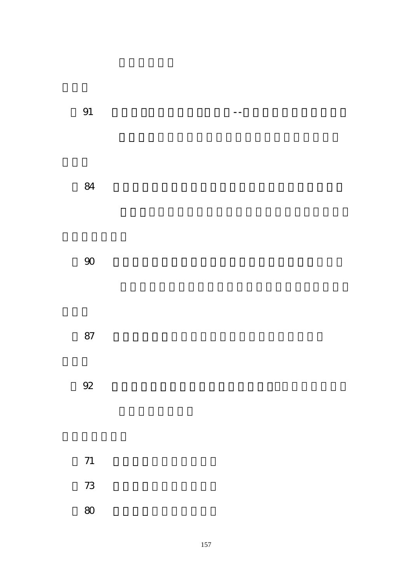91  $-$ 

 $84$ 

 $\infty$ 

87  $\sim$ 

 $92$ 

民 71 公共政策,台北:五南。

 民 73 公共政策,台北:五南。 民 80 公共政策,台北:五南。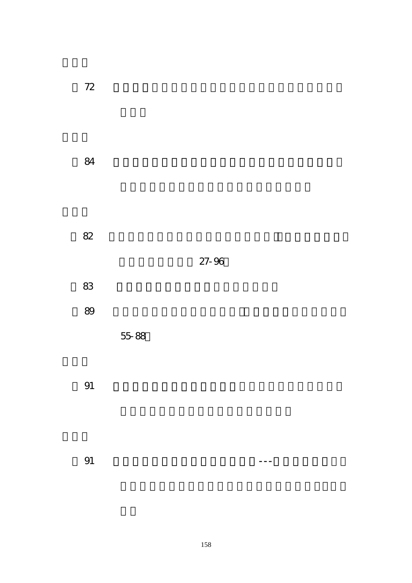$72$  $84$  $82$ 第二卷第二期,頁 27-96。 83 政策分析的理論與實踐 北﹕瑞興。  $89$  Table and  $89$ 55-88。  $91$ 

民 91 我國替代役回應性政策評估之研究---以台中市為例,東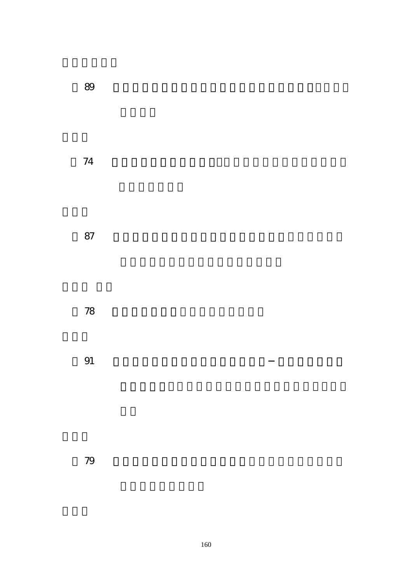$89 - 0.1$  $74$  $87$ 民 78 教育評鑑的模式 台北﹕師大書苑。  $91$ 

民 79 塑造中華民國國際新形象之研究,文化大學新聞研究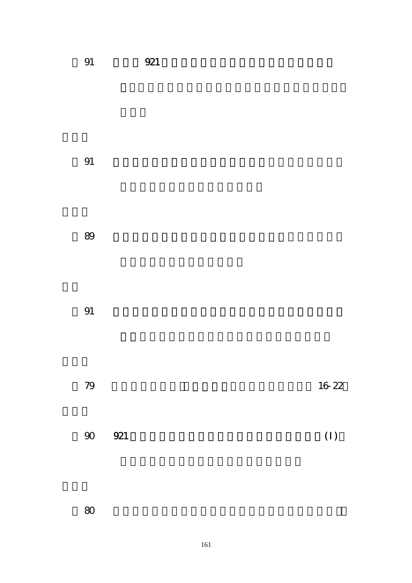| <b>91</b>                          | 921   |  |
|------------------------------------|-------|--|
| the property of the control of the | _____ |  |

 $91$ 

 $89 -$ 

 $91$ 

民 79 「簡述政策評估 人事月刊 第十卷第六期 16-22。

90 921 震災臨時屋之空間使用調查及相關議題之研究(I)

 $80$   $\hspace{1.5cm}$   $\hspace{1.5cm}$   $\hspace{1.5cm}$   $\hspace{1.5cm}$   $\hspace{1.5cm}$   $\hspace{1.5cm}$   $\hspace{1.5cm}$   $\hspace{1.5cm}$   $\hspace{1.5cm}$   $\hspace{1.5cm}$   $\hspace{1.5cm}$   $\hspace{1.5cm}$   $\hspace{1.5cm}$   $\hspace{1.5cm}$   $\hspace{1.5cm}$   $\hspace{1.5cm}$   $\hspace{1.5cm}$   $\hspace{1.5cm}$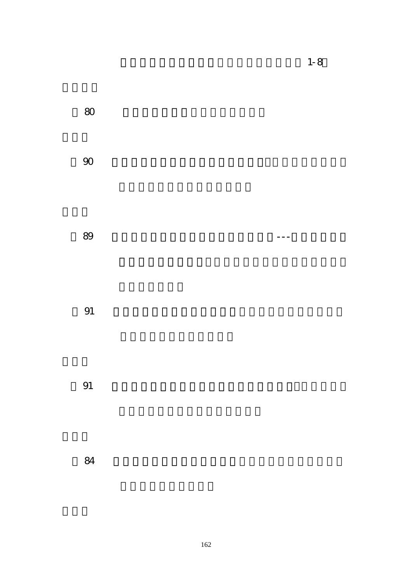$-1-8$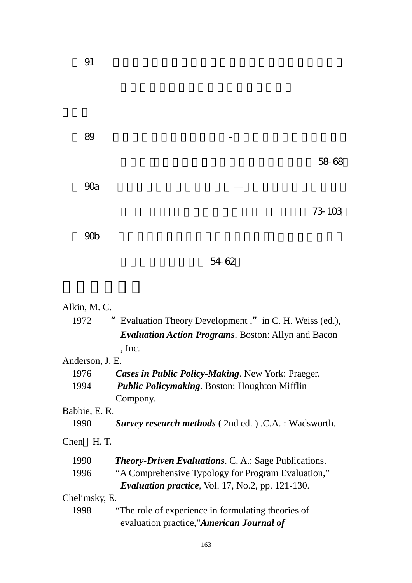民 89 「新 新政策-談災區重建的困難問題與 58-68  $\infty$ a  $-$ 73-103

 $91$ 

 $\partial$ 90b  $\partial$ 

### 54-62

### Alkin, M. C.

1972 "Evaluation Theory Development," in C. H. Weiss (ed.), *Evaluation Action Programs*. Boston: Allyn and Bacon , Inc.

## Anderson, J. E.

| <b>Cases in Public Policy-Making. New York: Praeger.</b> |
|----------------------------------------------------------|
|                                                          |

1994 *Public Policymaking*. Boston: Houghton Mifflin Compony.

## Babbie, E. R.

| 1990 | <b>Survey research methods</b> (2nd ed.) C.A. : Wadsworth. |  |  |
|------|------------------------------------------------------------|--|--|
|------|------------------------------------------------------------|--|--|

Chen H. T.

1996 "A Comprehensive Typology for Program Evaluation," *Evaluation practice*, Vol. 17, No.2, pp. 121-130.

# Chelimsky, E.

1998 "The role of experience in formulating theories of evaluation practice,"*American Journal of*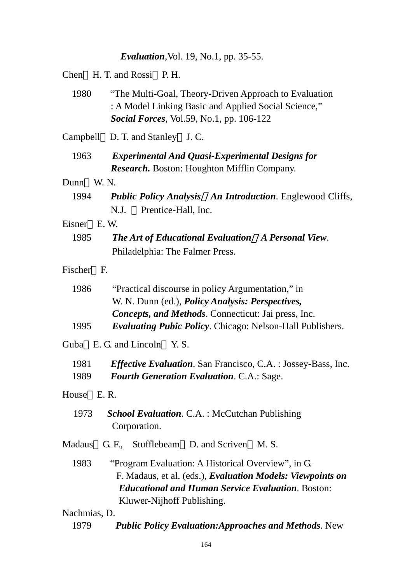#### *Evaluation*,Vol. 19, No.1, pp. 35-55.

Chen H. T. and Rossi P. H.

- 1980 "The Multi-Goal, Theory-Driven Approach to Evaluation : A Model Linking Basic and Applied Social Science," *Social Forces*, Vol.59, No.1, pp. 106-122
- Campbell D. T. and Stanley J. C.
	- 1963 *Experimental And Quasi-Experimental Designs for Research.* Boston: Houghton Mifflin Company.

#### Dunn W. N.

1994*Public Policy Analysis*﹕*An Introduction*. Englewood Cliffs, N.J. Prentice-Hall, Inc.

## Eisner E. W.

1985 *The Art of Educational Evaluation*﹕*A Personal View*. Philadelphia: The Falmer Press.

## Fischer F.

| 1986 | "Practical discourse in policy Argumentation," in                |  |  |
|------|------------------------------------------------------------------|--|--|
|      | W. N. Dunn (ed.), <i>Policy Analysis: Perspectives</i> ,         |  |  |
|      | <b>Concepts, and Methods.</b> Connecticut: Jai press, Inc.       |  |  |
| 1995 | <b>Evaluating Pubic Policy.</b> Chicago: Nelson-Hall Publishers. |  |  |

#### Guba E. G. and Lincoln Y. S.

- 1981 *Effective Evaluation*. San Francisco, C.A. : Jossey-Bass, Inc.
- 1989 *Fourth Generation Evaluation*. C.A.: Sage.

### House E. R.

- 1973 *School Evaluation*. C.A. : McCutchan Publishing Corporation.
- Madaus G. F., Stufflebeam D. and Scriven M. S.
	- 1983 "Program Evaluation: A Historical Overview", in G. F. Madaus, et al. (eds.), *Evaluation Models: Viewpoints on Educational and Human Service Evaluation*. Boston: Kluwer-Nijhoff Publishing.

### Nachmias, D.

1979 *Public Policy Evaluation:Approaches and Methods*. New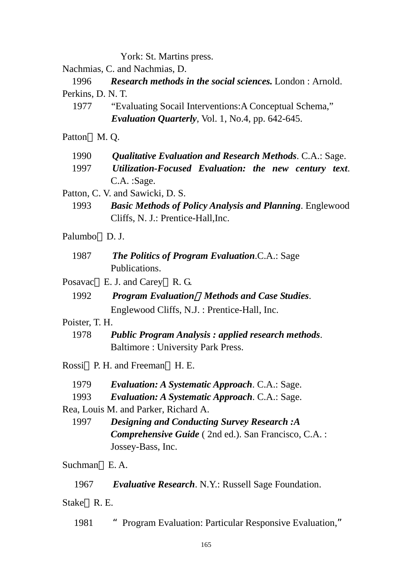York: St. Martins press.

Nachmias, C. and Nachmias, D.

 1996 *Research methods in the social sciences.* London : Arnold. Perkins, D. N. T.

1977 "Evaluating Socail Interventions:A Conceptual Schema," *Evaluation Quarterly*, Vol. 1, No.4, pp. 642-645.

Patton M. Q.

- 1990 *Qualitative Evaluation and Research Methods*. C.A.: Sage.
- 1997 *Utilization-Focused Evaluation: the new century text*. C.A. :Sage.

Patton, C. V. and Sawicki, D. S.

1993*Basic Methods of Policy Analysis and Planning*. Englewood Cliffs, N. J.: Prentice-Hall,Inc.

Palumbo D. J.

- 1987 *The Politics of Program Evaluation*.C.A.: Sage Publications.
- Posavac E. J. and Carey R. G.
	- 1992 *Program Evaluation*﹕*Methods and Case Studies*. Englewood Cliffs, N.J. : Prentice-Hall, Inc.

### Poister, T. H.

 1978 *Public Program Analysis : applied research methods*. Baltimore : University Park Press.

Rossi P. H. and Freeman H. E.

- 1979 *Evaluation: A Systematic Approach*. C.A.: Sage.
- 1993*Evaluation: A Systematic Approach*. C.A.: Sage.

Rea, Louis M. and Parker, Richard A.

 1997 *Designing and Conducting Survey Research :A Comprehensive Guide* ( 2nd ed.). San Francisco, C.A. : Jossey-Bass, Inc.

Suchman E. A.

1967 *Evaluative Research*. N.Y.: Russell Sage Foundation.

Stake R. E.

1981 "Program Evaluation: Particular Responsive Evaluation,"